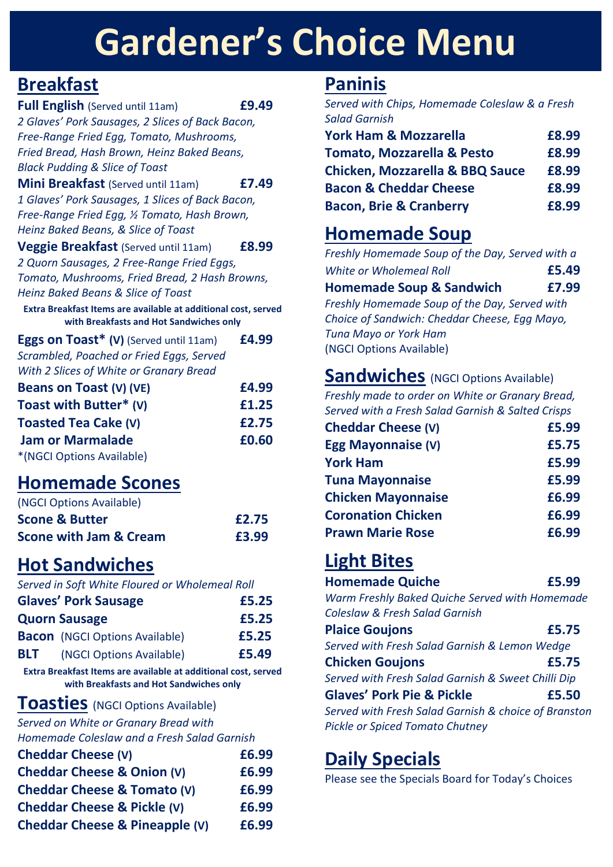## **Cheddar Cheese & York Ham £6.75 Gardener's Choice Menu**

## **Breakfast**

**Full English** (Served until 11am) **£9.49** *2 Glaves' Pork Sausages, 2 Slices of Back Bacon, Free-Range Fried Egg, Tomato, Mushrooms, Fried Bread, Hash Brown, Heinz Baked Beans, Black Pudding & Slice of Toast*

**Mini Breakfast** (Served until 11am) **£7.49** *1 Glaves' Pork Sausages, 1 Slices of Back Bacon, Free-Range Fried Egg, ½ Tomato, Hash Brown, Heinz Baked Beans, & Slice of Toast*

**Veggie Breakfast** (Served until 11am) **£8.99** *2 Quorn Sausages, 2 Free-Range Fried Eggs, Tomato, Mushrooms, Fried Bread, 2 Hash Browns, Heinz Baked Beans & Slice of Toast*

**Extra Breakfast Items are available at additional cost, served with Breakfasts and Hot Sandwiches only**

**Eggs on Toast\* (V)** (Served until 11am) **£4.99** *Scrambled, Poached or Fried Eggs, Served With 2 Slices of White or Granary Bread* 

| Beans on Toast (V) (VE)     | £4.99 |
|-----------------------------|-------|
| Toast with Butter* (V)      | £1.25 |
| <b>Toasted Tea Cake (V)</b> | £2.75 |
| <b>Jam or Marmalade</b>     | £0.60 |
| *(NGCI Options Available)   |       |

## **Homemade Scones**

| (NGCI Options Available)          |       |
|-----------------------------------|-------|
| <b>Scone &amp; Butter</b>         | £2.75 |
| <b>Scone with Jam &amp; Cream</b> | £3.99 |

## **Hot Sandwiches**

*Served in Soft White Floured or Wholemeal Roll*

|            | <b>Glaves' Pork Sausage</b>           | £5.25 |
|------------|---------------------------------------|-------|
|            | <b>Quorn Sausage</b>                  | £5.25 |
|            | <b>Bacon</b> (NGCI Options Available) | £5.25 |
| <b>BLT</b> | (NGCI Options Available)              | £5.49 |

**Extra Breakfast Items are available at additional cost, served with Breakfasts and Hot Sandwiches only**

### **Toasties** (NGCI Options Available)

*Served on White or Granary Bread with* 

*Homemade Coleslaw and a Fresh Salad Garnish*

| <b>Cheddar Cheese (V)</b>              | £6.99 |
|----------------------------------------|-------|
| Cheddar Cheese & Onion (V)             | £6.99 |
| <b>Cheddar Cheese &amp; Tomato (V)</b> | £6.99 |
| <b>Cheddar Cheese &amp; Pickle (V)</b> | £6.99 |
| Cheddar Cheese & Pineapple (V)         | £6.99 |

## **Paninis**

*Served with Chips, Homemade Coleslaw & a Fresh Salad Garnish*

| <b>York Ham &amp; Mozzarella</b>           | £8.99 |
|--------------------------------------------|-------|
| <b>Tomato, Mozzarella &amp; Pesto</b>      | £8.99 |
| <b>Chicken, Mozzarella &amp; BBQ Sauce</b> | £8.99 |
| <b>Bacon &amp; Cheddar Cheese</b>          | £8.99 |
| <b>Bacon, Brie &amp; Cranberry</b>         | £8.99 |

## **Homemade Soup**

*Freshly Homemade Soup of the Day, Served with a White or Wholemeal Roll* **£5.49 Homemade Soup & Sandwich £7.99** *Freshly Homemade Soup of the Day, Served with Choice of Sandwich: Cheddar Cheese, Egg Mayo, Tuna Mayo or York Ham* (NGCI Options Available)

### **Sandwiches** (NGCI Options Available)

*Freshly made to order on White or Granary Bread, Served with a Fresh Salad Garnish & Salted Crisps*

| <b>Cheddar Cheese (V)</b> | £5.99 |
|---------------------------|-------|
| Egg Mayonnaise (V)        | £5.75 |
| <b>York Ham</b>           | £5.99 |
| <b>Tuna Mayonnaise</b>    | £5.99 |
| <b>Chicken Mayonnaise</b> | £6.99 |
| <b>Coronation Chicken</b> | £6.99 |
| <b>Prawn Marie Rose</b>   | £6.99 |

# **Light Bites**

| <b>Homemade Quiche</b>                         | £5.99 |
|------------------------------------------------|-------|
| Warm Erechly Raked Quiche Served with Homemade |       |

*Warm Freshly Baked Quiche Served with Homemade Coleslaw & Fresh Salad Garnish*

| <b>Plaice Goujons</b>                                | £5.75 |
|------------------------------------------------------|-------|
| Served with Fresh Salad Garnish & Lemon Wedge        |       |
| <b>Chicken Goujons</b>                               | £5.75 |
| Served with Fresh Salad Garnish & Sweet Chilli Dip   |       |
| <b>Glaves' Pork Pie &amp; Pickle</b>                 | £5.50 |
| Served with Fresh Salad Garnish & choice of Branston |       |

*Pickle or Spiced Tomato Chutney*

## **Daily Specials**

Please see the Specials Board for Today's Choices